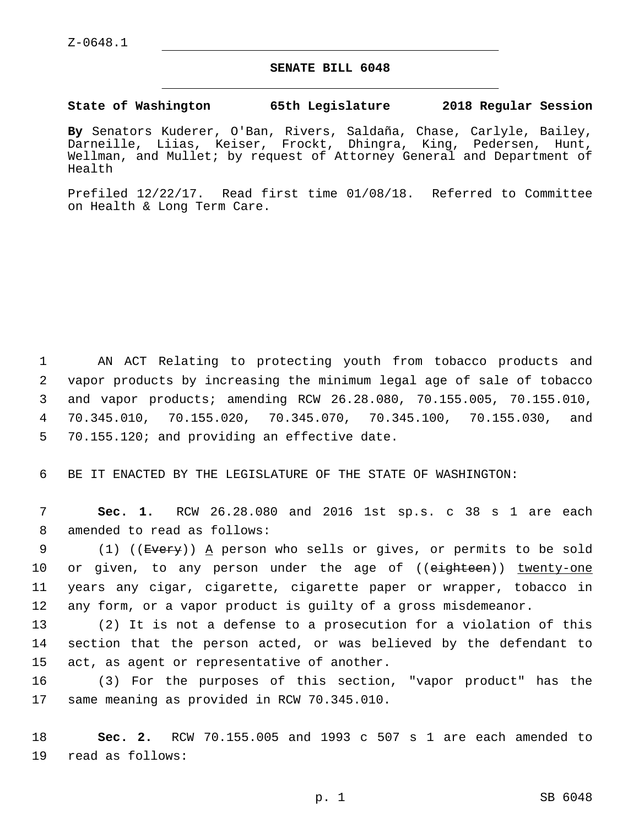## **SENATE BILL 6048**

**State of Washington 65th Legislature 2018 Regular Session**

**By** Senators Kuderer, O'Ban, Rivers, Saldaña, Chase, Carlyle, Bailey, Darneille, Liias, Keiser, Frockt, Dhingra, King, Pedersen, Hunt, Wellman, and Mullet; by request of Attorney General and Department of Health

Prefiled 12/22/17. Read first time 01/08/18. Referred to Committee on Health & Long Term Care.

 AN ACT Relating to protecting youth from tobacco products and vapor products by increasing the minimum legal age of sale of tobacco and vapor products; amending RCW 26.28.080, 70.155.005, 70.155.010, 70.345.010, 70.155.020, 70.345.070, 70.345.100, 70.155.030, and 5 70.155.120; and providing an effective date.

6 BE IT ENACTED BY THE LEGISLATURE OF THE STATE OF WASHINGTON:

7 **Sec. 1.** RCW 26.28.080 and 2016 1st sp.s. c 38 s 1 are each 8 amended to read as follows:

9 (1) ((Every)) A person who sells or gives, or permits to be sold 10 or given, to any person under the age of ((eighteen)) twenty-one 11 years any cigar, cigarette, cigarette paper or wrapper, tobacco in 12 any form, or a vapor product is guilty of a gross misdemeanor.

13 (2) It is not a defense to a prosecution for a violation of this 14 section that the person acted, or was believed by the defendant to 15 act, as agent or representative of another.

16 (3) For the purposes of this section, "vapor product" has the 17 same meaning as provided in RCW 70.345.010.

18 **Sec. 2.** RCW 70.155.005 and 1993 c 507 s 1 are each amended to 19 read as follows: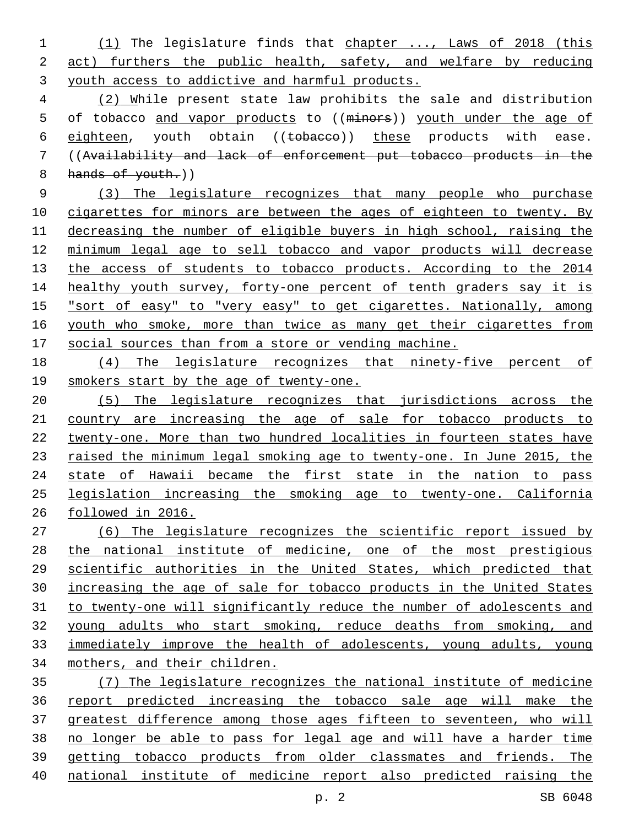(1) The legislature finds that chapter ..., Laws of 2018 (this act) furthers the public health, safety, and welfare by reducing youth access to addictive and harmful products.

 (2) While present state law prohibits the sale and distribution 5 of tobacco and vapor products to ((minors)) youth under the age of 6 eighteen, youth obtain ((tobacco)) these products with ease. ((Availability and lack of enforcement put tobacco products in the 8 hands of youth.)

 (3) The legislature recognizes that many people who purchase 10 cigarettes for minors are between the ages of eighteen to twenty. By decreasing the number of eligible buyers in high school, raising the minimum legal age to sell tobacco and vapor products will decrease 13 the access of students to tobacco products. According to the 2014 14 healthy youth survey, forty-one percent of tenth graders say it is "sort of easy" to "very easy" to get cigarettes. Nationally, among 16 youth who smoke, more than twice as many get their cigarettes from social sources than from a store or vending machine.

 (4) The legislature recognizes that ninety-five percent of smokers start by the age of twenty-one.

 (5) The legislature recognizes that jurisdictions across the country are increasing the age of sale for tobacco products to twenty-one. More than two hundred localities in fourteen states have 23 raised the minimum legal smoking age to twenty-one. In June 2015, the 24 state of Hawaii became the first state in the nation to pass legislation increasing the smoking age to twenty-one. California followed in 2016.

 (6) The legislature recognizes the scientific report issued by the national institute of medicine, one of the most prestigious scientific authorities in the United States, which predicted that increasing the age of sale for tobacco products in the United States to twenty-one will significantly reduce the number of adolescents and young adults who start smoking, reduce deaths from smoking, and immediately improve the health of adolescents, young adults, young mothers, and their children.

 (7) The legislature recognizes the national institute of medicine report predicted increasing the tobacco sale age will make the greatest difference among those ages fifteen to seventeen, who will no longer be able to pass for legal age and will have a harder time getting tobacco products from older classmates and friends. The national institute of medicine report also predicted raising the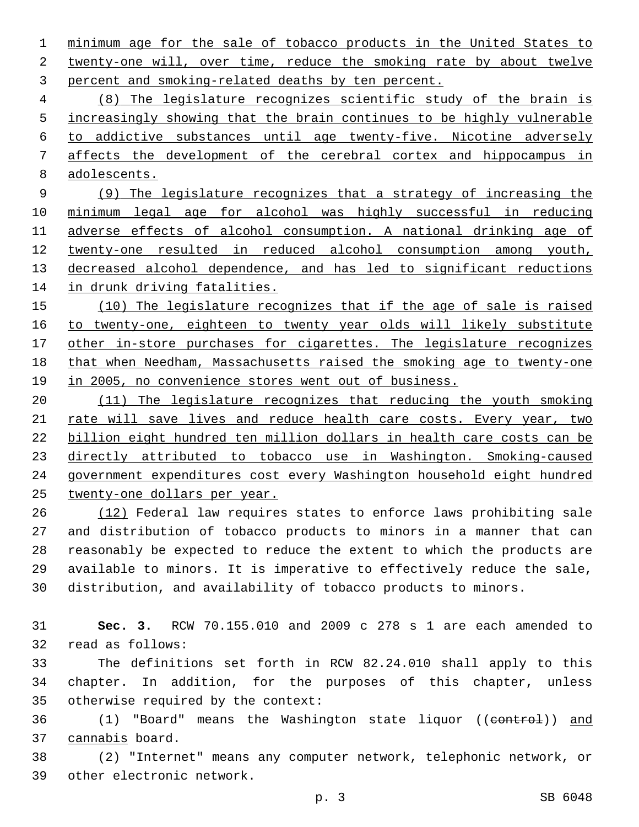minimum age for the sale of tobacco products in the United States to 2 twenty-one will, over time, reduce the smoking rate by about twelve 3 percent and smoking-related deaths by ten percent.

 (8) The legislature recognizes scientific study of the brain is 5 increasingly showing that the brain continues to be highly vulnerable to addictive substances until age twenty-five. Nicotine adversely affects the development of the cerebral cortex and hippocampus in adolescents.

 (9) The legislature recognizes that a strategy of increasing the minimum legal age for alcohol was highly successful in reducing adverse effects of alcohol consumption. A national drinking age of twenty-one resulted in reduced alcohol consumption among youth, decreased alcohol dependence, and has led to significant reductions in drunk driving fatalities.

 (10) The legislature recognizes that if the age of sale is raised to twenty-one, eighteen to twenty year olds will likely substitute 17 other in-store purchases for cigarettes. The legislature recognizes that when Needham, Massachusetts raised the smoking age to twenty-one 19 in 2005, no convenience stores went out of business.

 (11) The legislature recognizes that reducing the youth smoking 21 rate will save lives and reduce health care costs. Every year, two billion eight hundred ten million dollars in health care costs can be directly attributed to tobacco use in Washington. Smoking-caused government expenditures cost every Washington household eight hundred twenty-one dollars per year.

 (12) Federal law requires states to enforce laws prohibiting sale and distribution of tobacco products to minors in a manner that can reasonably be expected to reduce the extent to which the products are available to minors. It is imperative to effectively reduce the sale, distribution, and availability of tobacco products to minors.

 **Sec. 3.** RCW 70.155.010 and 2009 c 278 s 1 are each amended to 32 read as follows:

 The definitions set forth in RCW 82.24.010 shall apply to this chapter. In addition, for the purposes of this chapter, unless 35 otherwise required by the context:

36 (1) "Board" means the Washington state liquor ((control)) and 37 cannabis board.

 (2) "Internet" means any computer network, telephonic network, or 39 other electronic network.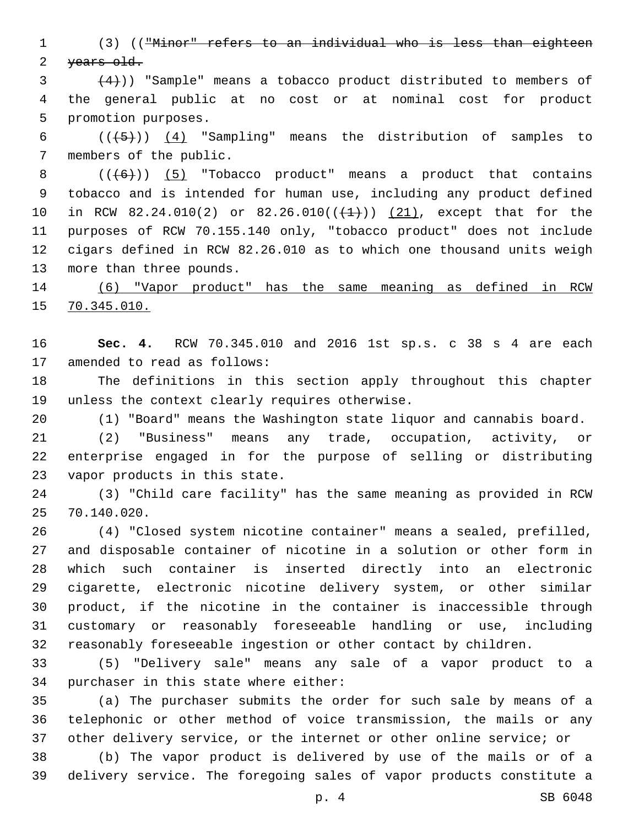(3) (("Minor" refers to an individual who is less than eighteen 2 years old.

 $(4)$ )) "Sample" means a tobacco product distributed to members of the general public at no cost or at nominal cost for product 5 promotion purposes.

6  $((+5))$   $(4)$  "Sampling" means the distribution of samples to 7 members of the public.

 $((+6))$   $(5)$  "Tobacco product" means a product that contains tobacco and is intended for human use, including any product defined 10 in RCW 82.24.010(2) or 82.26.010( $(\frac{1}{1})$ )  $(21)$ , except that for the purposes of RCW 70.155.140 only, "tobacco product" does not include cigars defined in RCW 82.26.010 as to which one thousand units weigh 13 more than three pounds.

 (6) "Vapor product" has the same meaning as defined in RCW 70.345.010.

 **Sec. 4.** RCW 70.345.010 and 2016 1st sp.s. c 38 s 4 are each 17 amended to read as follows:

 The definitions in this section apply throughout this chapter 19 unless the context clearly requires otherwise.

(1) "Board" means the Washington state liquor and cannabis board.

 (2) "Business" means any trade, occupation, activity, or enterprise engaged in for the purpose of selling or distributing 23 vapor products in this state.

 (3) "Child care facility" has the same meaning as provided in RCW 70.140.020.25

 (4) "Closed system nicotine container" means a sealed, prefilled, and disposable container of nicotine in a solution or other form in which such container is inserted directly into an electronic cigarette, electronic nicotine delivery system, or other similar product, if the nicotine in the container is inaccessible through customary or reasonably foreseeable handling or use, including reasonably foreseeable ingestion or other contact by children.

 (5) "Delivery sale" means any sale of a vapor product to a 34 purchaser in this state where either:

 (a) The purchaser submits the order for such sale by means of a telephonic or other method of voice transmission, the mails or any other delivery service, or the internet or other online service; or

 (b) The vapor product is delivered by use of the mails or of a delivery service. The foregoing sales of vapor products constitute a

p. 4 SB 6048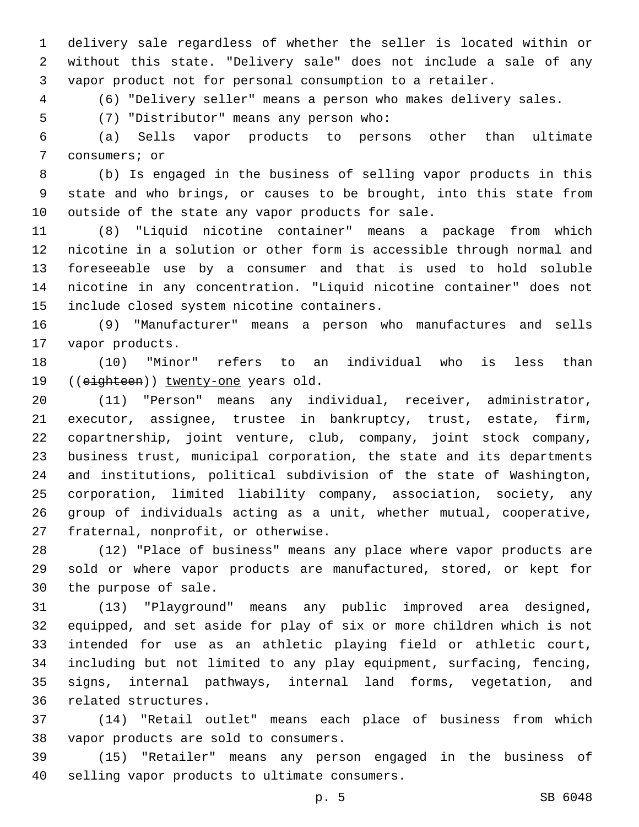delivery sale regardless of whether the seller is located within or without this state. "Delivery sale" does not include a sale of any vapor product not for personal consumption to a retailer.

(6) "Delivery seller" means a person who makes delivery sales.

(7) "Distributor" means any person who:5

 (a) Sells vapor products to persons other than ultimate 7 consumers; or

 (b) Is engaged in the business of selling vapor products in this state and who brings, or causes to be brought, into this state from 10 outside of the state any vapor products for sale.

 (8) "Liquid nicotine container" means a package from which nicotine in a solution or other form is accessible through normal and foreseeable use by a consumer and that is used to hold soluble nicotine in any concentration. "Liquid nicotine container" does not 15 include closed system nicotine containers.

 (9) "Manufacturer" means a person who manufactures and sells 17 vapor products.

 (10) "Minor" refers to an individual who is less than 19 ((eighteen)) twenty-one years old.

 (11) "Person" means any individual, receiver, administrator, executor, assignee, trustee in bankruptcy, trust, estate, firm, copartnership, joint venture, club, company, joint stock company, business trust, municipal corporation, the state and its departments and institutions, political subdivision of the state of Washington, corporation, limited liability company, association, society, any group of individuals acting as a unit, whether mutual, cooperative, 27 fraternal, nonprofit, or otherwise.

 (12) "Place of business" means any place where vapor products are sold or where vapor products are manufactured, stored, or kept for 30 the purpose of sale.

 (13) "Playground" means any public improved area designed, equipped, and set aside for play of six or more children which is not intended for use as an athletic playing field or athletic court, including but not limited to any play equipment, surfacing, fencing, signs, internal pathways, internal land forms, vegetation, and 36 related structures.

 (14) "Retail outlet" means each place of business from which 38 vapor products are sold to consumers.

 (15) "Retailer" means any person engaged in the business of 40 selling vapor products to ultimate consumers.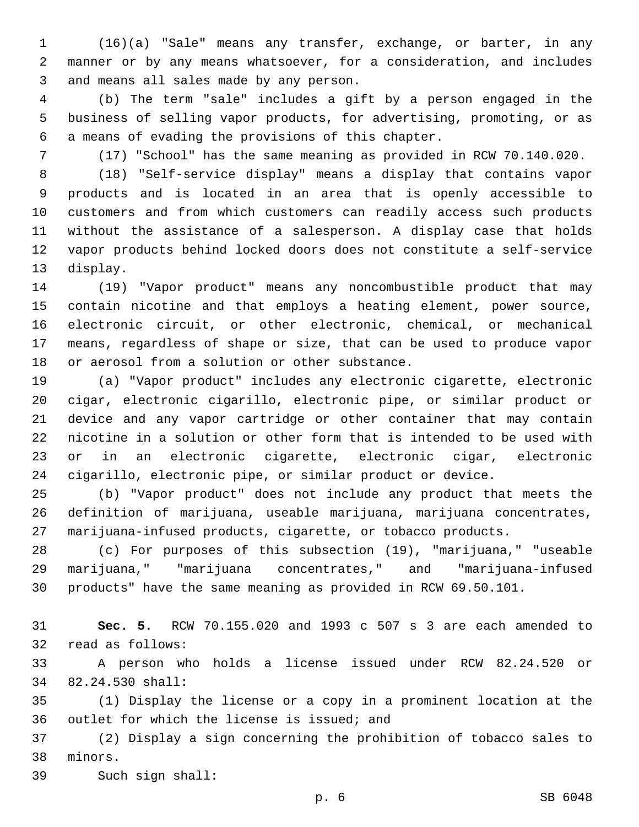(16)(a) "Sale" means any transfer, exchange, or barter, in any manner or by any means whatsoever, for a consideration, and includes 3 and means all sales made by any person.

 (b) The term "sale" includes a gift by a person engaged in the business of selling vapor products, for advertising, promoting, or as 6 a means of evading the provisions of this chapter.

(17) "School" has the same meaning as provided in RCW 70.140.020.

 (18) "Self-service display" means a display that contains vapor products and is located in an area that is openly accessible to customers and from which customers can readily access such products without the assistance of a salesperson. A display case that holds vapor products behind locked doors does not constitute a self-service 13 display.

 (19) "Vapor product" means any noncombustible product that may contain nicotine and that employs a heating element, power source, electronic circuit, or other electronic, chemical, or mechanical means, regardless of shape or size, that can be used to produce vapor 18 or aerosol from a solution or other substance.

 (a) "Vapor product" includes any electronic cigarette, electronic cigar, electronic cigarillo, electronic pipe, or similar product or device and any vapor cartridge or other container that may contain nicotine in a solution or other form that is intended to be used with or in an electronic cigarette, electronic cigar, electronic cigarillo, electronic pipe, or similar product or device.

 (b) "Vapor product" does not include any product that meets the definition of marijuana, useable marijuana, marijuana concentrates, marijuana-infused products, cigarette, or tobacco products.

 (c) For purposes of this subsection (19), "marijuana," "useable marijuana," "marijuana concentrates," and "marijuana-infused products" have the same meaning as provided in RCW 69.50.101.

 **Sec. 5.** RCW 70.155.020 and 1993 c 507 s 3 are each amended to 32 read as follows:

 A person who holds a license issued under RCW 82.24.520 or 82.24.530 shall:34

 (1) Display the license or a copy in a prominent location at the 36 outlet for which the license is issued; and

 (2) Display a sign concerning the prohibition of tobacco sales to 38 minors.

39 Such sign shall: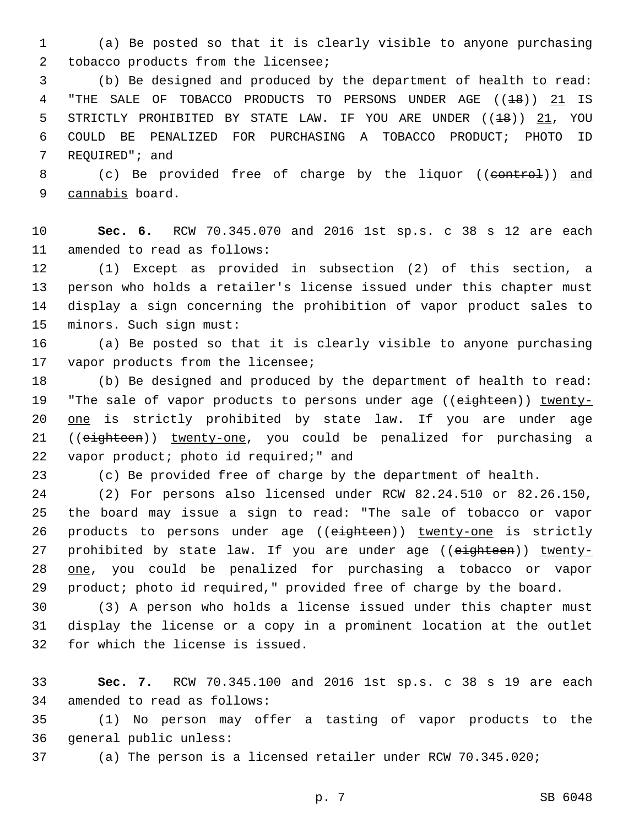1 (a) Be posted so that it is clearly visible to anyone purchasing 2 tobacco products from the licensee;

3 (b) Be designed and produced by the department of health to read: 4 "THE SALE OF TOBACCO PRODUCTS TO PERSONS UNDER AGE ((18)) 21 IS 5 STRICTLY PROHIBITED BY STATE LAW. IF YOU ARE UNDER ((<del>18</del>)) 21, YOU 6 COULD BE PENALIZED FOR PURCHASING A TOBACCO PRODUCT; PHOTO ID 7 REQUIRED"; and

8 (c) Be provided free of charge by the liquor ((control)) and 9 cannabis board.

10 **Sec. 6.** RCW 70.345.070 and 2016 1st sp.s. c 38 s 12 are each 11 amended to read as follows:

 (1) Except as provided in subsection (2) of this section, a person who holds a retailer's license issued under this chapter must display a sign concerning the prohibition of vapor product sales to 15 minors. Such sign must:

16 (a) Be posted so that it is clearly visible to anyone purchasing 17 vapor products from the licensee;

18 (b) Be designed and produced by the department of health to read: 19 "The sale of vapor products to persons under age ((eighteen)) twenty-20 one is strictly prohibited by state law. If you are under age 21 ((eighteen)) twenty-one, you could be penalized for purchasing a 22 vapor product; photo id required;" and

23 (c) Be provided free of charge by the department of health.

 (2) For persons also licensed under RCW 82.24.510 or 82.26.150, the board may issue a sign to read: "The sale of tobacco or vapor 26 products to persons under age ((eighteen)) twenty-one is strictly 27 prohibited by state law. If you are under age ((eighteen)) twenty- one, you could be penalized for purchasing a tobacco or vapor product; photo id required," provided free of charge by the board.

30 (3) A person who holds a license issued under this chapter must 31 display the license or a copy in a prominent location at the outlet 32 for which the license is issued.

33 **Sec. 7.** RCW 70.345.100 and 2016 1st sp.s. c 38 s 19 are each 34 amended to read as follows:

35 (1) No person may offer a tasting of vapor products to the 36 general public unless:

37 (a) The person is a licensed retailer under RCW 70.345.020;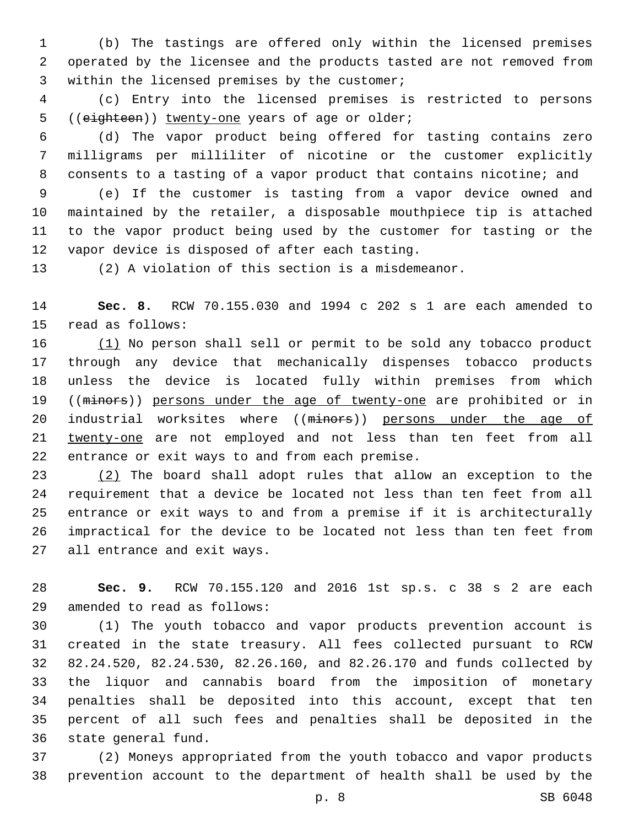(b) The tastings are offered only within the licensed premises operated by the licensee and the products tasted are not removed from 3 within the licensed premises by the customer;

 (c) Entry into the licensed premises is restricted to persons 5 ((eighteen)) twenty-one years of age or older;

 (d) The vapor product being offered for tasting contains zero milligrams per milliliter of nicotine or the customer explicitly consents to a tasting of a vapor product that contains nicotine; and

 (e) If the customer is tasting from a vapor device owned and maintained by the retailer, a disposable mouthpiece tip is attached to the vapor product being used by the customer for tasting or the 12 vapor device is disposed of after each tasting.

(2) A violation of this section is a misdemeanor.

 **Sec. 8.** RCW 70.155.030 and 1994 c 202 s 1 are each amended to 15 read as follows:

 (1) No person shall sell or permit to be sold any tobacco product through any device that mechanically dispenses tobacco products unless the device is located fully within premises from which 19 ((minors)) persons under the age of twenty-one are prohibited or in 20 industrial worksites where ((minors)) persons under the age of twenty-one are not employed and not less than ten feet from all 22 entrance or exit ways to and from each premise.

 (2) The board shall adopt rules that allow an exception to the requirement that a device be located not less than ten feet from all entrance or exit ways to and from a premise if it is architecturally impractical for the device to be located not less than ten feet from 27 all entrance and exit ways.

 **Sec. 9.** RCW 70.155.120 and 2016 1st sp.s. c 38 s 2 are each amended to read as follows:29

 (1) The youth tobacco and vapor products prevention account is created in the state treasury. All fees collected pursuant to RCW 82.24.520, 82.24.530, 82.26.160, and 82.26.170 and funds collected by the liquor and cannabis board from the imposition of monetary penalties shall be deposited into this account, except that ten percent of all such fees and penalties shall be deposited in the 36 state general fund.

 (2) Moneys appropriated from the youth tobacco and vapor products prevention account to the department of health shall be used by the

p. 8 SB 6048